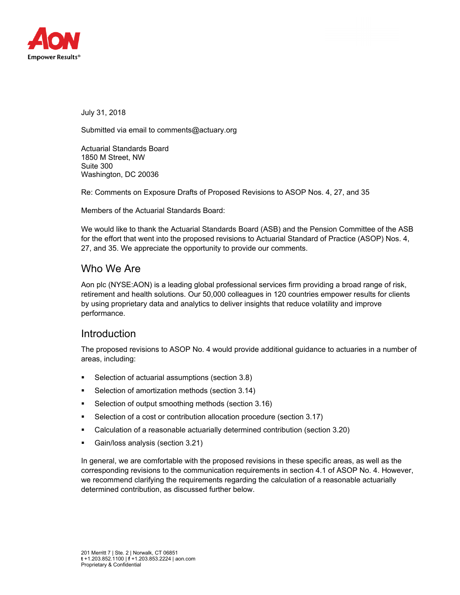

July 31, 2018

Submitted via email to comments@actuary.org

Actuarial Standards Board 1850 M Street, NW Suite 300 Washington, DC 20036

Re: Comments on Exposure Drafts of Proposed Revisions to ASOP Nos. 4, 27, and 35

Members of the Actuarial Standards Board:

We would like to thank the Actuarial Standards Board (ASB) and the Pension Committee of the ASB for the effort that went into the proposed revisions to Actuarial Standard of Practice (ASOP) Nos. 4, 27, and 35. We appreciate the opportunity to provide our comments.

## Who We Are

Aon plc (NYSE:AON) is a leading global professional services firm providing a broad range of risk, retirement and health solutions. Our 50,000 colleagues in 120 countries empower results for clients by using proprietary data and analytics to deliver insights that reduce volatility and improve performance.

## **Introduction**

The proposed revisions to ASOP No. 4 would provide additional guidance to actuaries in a number of areas, including:

- Selection of actuarial assumptions (section 3.8)
- Selection of amortization methods (section 3.14)
- **Selection of output smoothing methods (section 3.16)**
- **Selection of a cost or contribution allocation procedure (section 3.17)**
- Calculation of a reasonable actuarially determined contribution (section 3.20)
- Gain/loss analysis (section 3.21)

In general, we are comfortable with the proposed revisions in these specific areas, as well as the corresponding revisions to the communication requirements in section 4.1 of ASOP No. 4. However, we recommend clarifying the requirements regarding the calculation of a reasonable actuarially determined contribution, as discussed further below.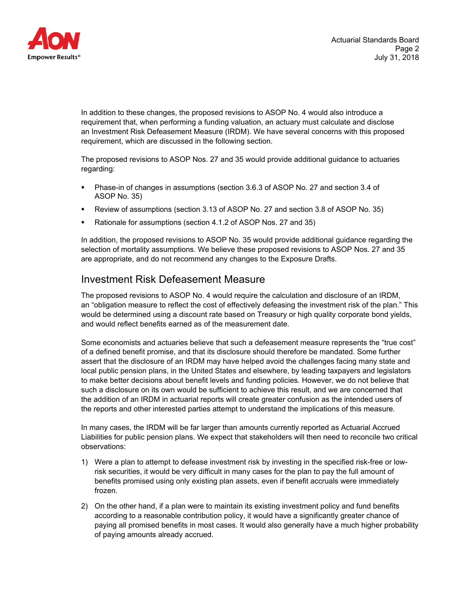

In addition to these changes, the proposed revisions to ASOP No. 4 would also introduce a requirement that, when performing a funding valuation, an actuary must calculate and disclose an Investment Risk Defeasement Measure (IRDM). We have several concerns with this proposed requirement, which are discussed in the following section.

The proposed revisions to ASOP Nos. 27 and 35 would provide additional guidance to actuaries regarding:

- Phase-in of changes in assumptions (section 3.6.3 of ASOP No. 27 and section 3.4 of ASOP No. 35)
- Review of assumptions (section 3.13 of ASOP No. 27 and section 3.8 of ASOP No. 35)
- Rationale for assumptions (section 4.1.2 of ASOP Nos. 27 and 35)

In addition, the proposed revisions to ASOP No. 35 would provide additional guidance regarding the selection of mortality assumptions. We believe these proposed revisions to ASOP Nos. 27 and 35 are appropriate, and do not recommend any changes to the Exposure Drafts.

## Investment Risk Defeasement Measure

The proposed revisions to ASOP No. 4 would require the calculation and disclosure of an IRDM, an "obligation measure to reflect the cost of effectively defeasing the investment risk of the plan." This would be determined using a discount rate based on Treasury or high quality corporate bond yields, and would reflect benefits earned as of the measurement date.

Some economists and actuaries believe that such a defeasement measure represents the "true cost" of a defined benefit promise, and that its disclosure should therefore be mandated. Some further assert that the disclosure of an IRDM may have helped avoid the challenges facing many state and local public pension plans, in the United States and elsewhere, by leading taxpayers and legislators to make better decisions about benefit levels and funding policies. However, we do not believe that such a disclosure on its own would be sufficient to achieve this result, and we are concerned that the addition of an IRDM in actuarial reports will create greater confusion as the intended users of the reports and other interested parties attempt to understand the implications of this measure.

In many cases, the IRDM will be far larger than amounts currently reported as Actuarial Accrued Liabilities for public pension plans. We expect that stakeholders will then need to reconcile two critical observations:

- 1) Were a plan to attempt to defease investment risk by investing in the specified risk-free or lowrisk securities, it would be very difficult in many cases for the plan to pay the full amount of benefits promised using only existing plan assets, even if benefit accruals were immediately frozen.
- 2) On the other hand, if a plan were to maintain its existing investment policy and fund benefits according to a reasonable contribution policy, it would have a significantly greater chance of paying all promised benefits in most cases. It would also generally have a much higher probability of paying amounts already accrued.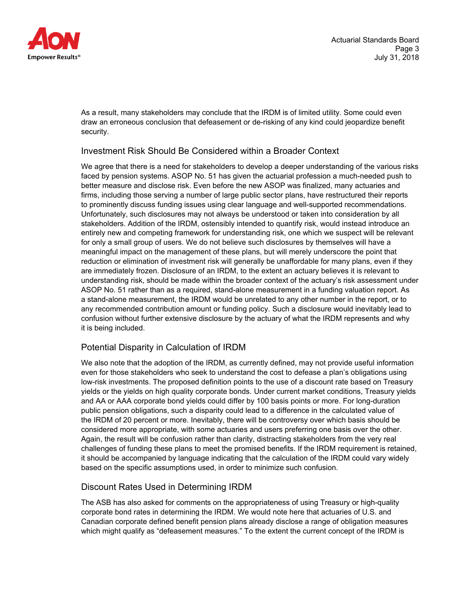

As a result, many stakeholders may conclude that the IRDM is of limited utility. Some could even draw an erroneous conclusion that defeasement or de-risking of any kind could jeopardize benefit security.

### Investment Risk Should Be Considered within a Broader Context

We agree that there is a need for stakeholders to develop a deeper understanding of the various risks faced by pension systems. ASOP No. 51 has given the actuarial profession a much-needed push to better measure and disclose risk. Even before the new ASOP was finalized, many actuaries and firms, including those serving a number of large public sector plans, have restructured their reports to prominently discuss funding issues using clear language and well-supported recommendations. Unfortunately, such disclosures may not always be understood or taken into consideration by all stakeholders. Addition of the IRDM, ostensibly intended to quantify risk, would instead introduce an entirely new and competing framework for understanding risk, one which we suspect will be relevant for only a small group of users. We do not believe such disclosures by themselves will have a meaningful impact on the management of these plans, but will merely underscore the point that reduction or elimination of investment risk will generally be unaffordable for many plans, even if they are immediately frozen. Disclosure of an IRDM, to the extent an actuary believes it is relevant to understanding risk, should be made within the broader context of the actuary's risk assessment under ASOP No. 51 rather than as a required, stand-alone measurement in a funding valuation report. As a stand-alone measurement, the IRDM would be unrelated to any other number in the report, or to any recommended contribution amount or funding policy. Such a disclosure would inevitably lead to confusion without further extensive disclosure by the actuary of what the IRDM represents and why it is being included.

### Potential Disparity in Calculation of IRDM

We also note that the adoption of the IRDM, as currently defined, may not provide useful information even for those stakeholders who seek to understand the cost to defease a plan's obligations using low-risk investments. The proposed definition points to the use of a discount rate based on Treasury yields or the yields on high quality corporate bonds. Under current market conditions, Treasury yields and AA or AAA corporate bond yields could differ by 100 basis points or more. For long-duration public pension obligations, such a disparity could lead to a difference in the calculated value of the IRDM of 20 percent or more. Inevitably, there will be controversy over which basis should be considered more appropriate, with some actuaries and users preferring one basis over the other. Again, the result will be confusion rather than clarity, distracting stakeholders from the very real challenges of funding these plans to meet the promised benefits. If the IRDM requirement is retained, it should be accompanied by language indicating that the calculation of the IRDM could vary widely based on the specific assumptions used, in order to minimize such confusion.

### Discount Rates Used in Determining IRDM

The ASB has also asked for comments on the appropriateness of using Treasury or high-quality corporate bond rates in determining the IRDM. We would note here that actuaries of U.S. and Canadian corporate defined benefit pension plans already disclose a range of obligation measures which might qualify as "defeasement measures." To the extent the current concept of the IRDM is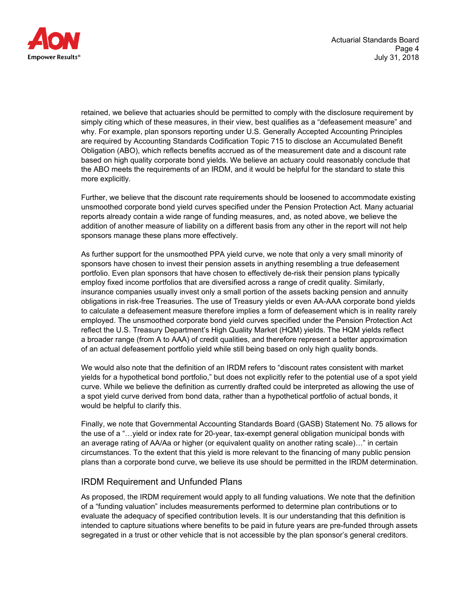



retained, we believe that actuaries should be permitted to comply with the disclosure requirement by simply citing which of these measures, in their view, best qualifies as a "defeasement measure" and why. For example, plan sponsors reporting under U.S. Generally Accepted Accounting Principles are required by Accounting Standards Codification Topic 715 to disclose an Accumulated Benefit Obligation (ABO), which reflects benefits accrued as of the measurement date and a discount rate based on high quality corporate bond yields. We believe an actuary could reasonably conclude that the ABO meets the requirements of an IRDM, and it would be helpful for the standard to state this more explicitly.

Further, we believe that the discount rate requirements should be loosened to accommodate existing unsmoothed corporate bond yield curves specified under the Pension Protection Act. Many actuarial reports already contain a wide range of funding measures, and, as noted above, we believe the addition of another measure of liability on a different basis from any other in the report will not help sponsors manage these plans more effectively.

As further support for the unsmoothed PPA yield curve, we note that only a very small minority of sponsors have chosen to invest their pension assets in anything resembling a true defeasement portfolio. Even plan sponsors that have chosen to effectively de-risk their pension plans typically employ fixed income portfolios that are diversified across a range of credit quality. Similarly, insurance companies usually invest only a small portion of the assets backing pension and annuity obligations in risk-free Treasuries. The use of Treasury yields or even AA-AAA corporate bond yields to calculate a defeasement measure therefore implies a form of defeasement which is in reality rarely employed. The unsmoothed corporate bond yield curves specified under the Pension Protection Act reflect the U.S. Treasury Department's High Quality Market (HQM) yields. The HQM yields reflect a broader range (from A to AAA) of credit qualities, and therefore represent a better approximation of an actual defeasement portfolio yield while still being based on only high quality bonds.

We would also note that the definition of an IRDM refers to "discount rates consistent with market yields for a hypothetical bond portfolio," but does not explicitly refer to the potential use of a spot yield curve. While we believe the definition as currently drafted could be interpreted as allowing the use of a spot yield curve derived from bond data, rather than a hypothetical portfolio of actual bonds, it would be helpful to clarify this.

Finally, we note that Governmental Accounting Standards Board (GASB) Statement No. 75 allows for the use of a "…yield or index rate for 20-year, tax-exempt general obligation municipal bonds with an average rating of AA/Aa or higher (or equivalent quality on another rating scale)…" in certain circumstances. To the extent that this yield is more relevant to the financing of many public pension plans than a corporate bond curve, we believe its use should be permitted in the IRDM determination.

#### IRDM Requirement and Unfunded Plans

As proposed, the IRDM requirement would apply to all funding valuations. We note that the definition of a "funding valuation" includes measurements performed to determine plan contributions or to evaluate the adequacy of specified contribution levels. It is our understanding that this definition is intended to capture situations where benefits to be paid in future years are pre-funded through assets segregated in a trust or other vehicle that is not accessible by the plan sponsor's general creditors.